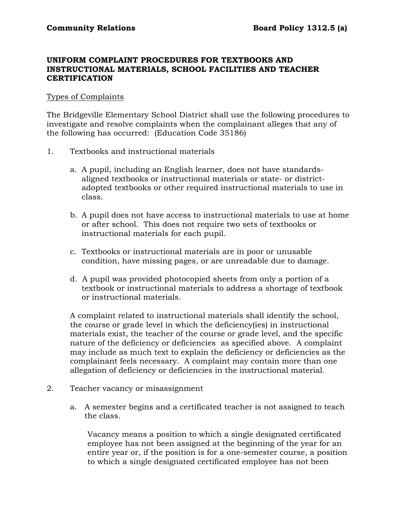### **UNIFORM COMPLAINT PROCEDURES FOR TEXTBOOKS AND INSTRUCTIONAL MATERIALS, SCHOOL FACILITIES AND TEACHER CERTIFICATION**

#### Types of Complaints

The Bridgeville Elementary School District shall use the following procedures to investigate and resolve complaints when the complainant alleges that any of the following has occurred: (Education Code 35186)

- 1. Textbooks and instructional materials
	- a. A pupil, including an English learner, does not have standardsaligned textbooks or instructional materials or state- or districtadopted textbooks or other required instructional materials to use in class.
	- b. A pupil does not have access to instructional materials to use at home or after school. This does not require two sets of textbooks or instructional materials for each pupil.
	- c. Textbooks or instructional materials are in poor or unusable condition, have missing pages, or are unreadable due to damage.
	- d. A pupil was provided photocopied sheets from only a portion of a textbook or instructional materials to address a shortage of textbook or instructional materials.

A complaint related to instructional materials shall identify the school, the course or grade level in which the deficiency(ies) in instructional materials exist, the teacher of the course or grade level, and the specific nature of the deficiency or deficiencies as specified above. A complaint may include as much text to explain the deficiency or deficiencies as the complainant feels necessary. A complaint may contain more than one allegation of deficiency or deficiencies in the instructional material.

- 2. Teacher vacancy or misassignment
	- a. A semester begins and a certificated teacher is not assigned to teach the class.

Vacancy means a position to which a single designated certificated employee has not been assigned at the beginning of the year for an entire year or, if the position is for a one-semester course, a position to which a single designated certificated employee has not been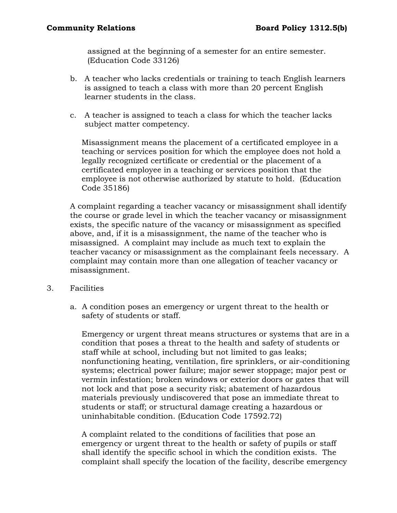assigned at the beginning of a semester for an entire semester. (Education Code 33126)

- b. A teacher who lacks credentials or training to teach English learners is assigned to teach a class with more than 20 percent English learner students in the class.
- c. A teacher is assigned to teach a class for which the teacher lacks subject matter competency.

Misassignment means the placement of a certificated employee in a teaching or services position for which the employee does not hold a legally recognized certificate or credential or the placement of a certificated employee in a teaching or services position that the employee is not otherwise authorized by statute to hold. (Education Code 35186)

A complaint regarding a teacher vacancy or misassignment shall identify the course or grade level in which the teacher vacancy or misassignment exists, the specific nature of the vacancy or misassignment as specified above, and, if it is a misassignment, the name of the teacher who is misassigned. A complaint may include as much text to explain the teacher vacancy or misassignment as the complainant feels necessary. A complaint may contain more than one allegation of teacher vacancy or misassignment.

- 3. Facilities
	- a. A condition poses an emergency or urgent threat to the health or safety of students or staff.

Emergency or urgent threat means structures or systems that are in a condition that poses a threat to the health and safety of students or staff while at school, including but not limited to gas leaks; nonfunctioning heating, ventilation, fire sprinklers, or air-conditioning systems; electrical power failure; major sewer stoppage; major pest or vermin infestation; broken windows or exterior doors or gates that will not lock and that pose a security risk; abatement of hazardous materials previously undiscovered that pose an immediate threat to students or staff; or structural damage creating a hazardous or uninhabitable condition. (Education Code 17592.72)

A complaint related to the conditions of facilities that pose an emergency or urgent threat to the health or safety of pupils or staff shall identify the specific school in which the condition exists. The complaint shall specify the location of the facility, describe emergency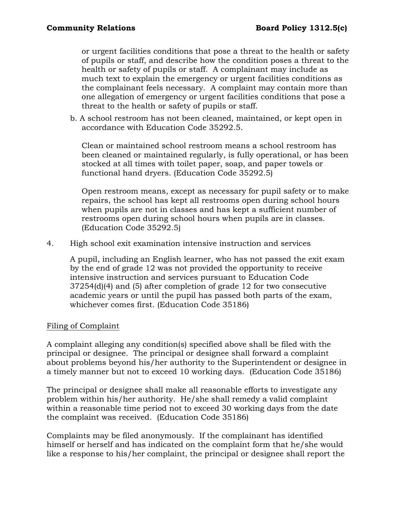or urgent facilities conditions that pose a threat to the health or safety of pupils or staff, and describe how the condition poses a threat to the health or safety of pupils or staff. A complainant may include as much text to explain the emergency or urgent facilities conditions as the complainant feels necessary. A complaint may contain more than one allegation of emergency or urgent facilities conditions that pose a threat to the health or safety of pupils or staff.

b. A school restroom has not been cleaned, maintained, or kept open in accordance with Education Code 35292.5.

Clean or maintained school restroom means a school restroom has been cleaned or maintained regularly, is fully operational, or has been stocked at all times with toilet paper, soap, and paper towels or functional hand dryers. (Education Code 35292.5)

Open restroom means, except as necessary for pupil safety or to make repairs, the school has kept all restrooms open during school hours when pupils are not in classes and has kept a sufficient number of restrooms open during school hours when pupils are in classes. (Education Code 35292.5)

4. High school exit examination intensive instruction and services

A pupil, including an English learner, who has not passed the exit exam by the end of grade 12 was not provided the opportunity to receive intensive instruction and services pursuant to Education Code 37254(d)(4) and (5) after completion of grade 12 for two consecutive academic years or until the pupil has passed both parts of the exam, whichever comes first. (Education Code 35186)

### Filing of Complaint

A complaint alleging any condition(s) specified above shall be filed with the principal or designee. The principal or designee shall forward a complaint about problems beyond his/her authority to the Superintendent or designee in a timely manner but not to exceed 10 working days. (Education Code 35186)

The principal or designee shall make all reasonable efforts to investigate any problem within his/her authority. He/she shall remedy a valid complaint within a reasonable time period not to exceed 30 working days from the date the complaint was received. (Education Code 35186)

Complaints may be filed anonymously. If the complainant has identified himself or herself and has indicated on the complaint form that he/she would like a response to his/her complaint, the principal or designee shall report the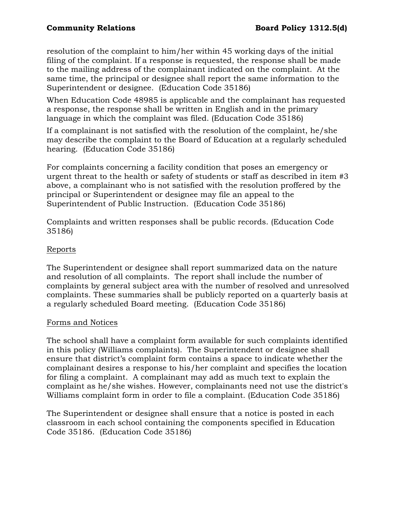resolution of the complaint to him/her within 45 working days of the initial filing of the complaint. If a response is requested, the response shall be made to the mailing address of the complainant indicated on the complaint.At the same time, the principal or designee shall report the same information to the Superintendent or designee. (Education Code 35186)

When Education Code 48985 is applicable and the complainant has requested a response, the response shall be written in English and in the primary language in which the complaint was filed. (Education Code 35186)

If a complainant is not satisfied with the resolution of the complaint, he/she may describe the complaint to the Board of Education at a regularly scheduled hearing. (Education Code 35186)

For complaints concerning a facility condition that poses an emergency or urgent threat to the health or safety of students or staff as described in item #3 above, a complainant who is not satisfied with the resolution proffered by the principal or Superintendent or designee may file an appeal to the Superintendent of Public Instruction. (Education Code 35186)

Complaints and written responses shall be public records. (Education Code 35186)

# Reports

The Superintendent or designee shall report summarized data on the nature and resolution of all complaints. The report shall include the number of complaints by general subject area with the number of resolved and unresolved complaints. These summaries shall be publicly reported on a quarterly basis at a regularly scheduled Board meeting. (Education Code 35186)

## Forms and Notices

The school shall have a complaint form available for such complaints identified in this policy (Williams complaints). The Superintendent or designee shall ensure that district's complaint form contains a space to indicate whether the complainant desires a response to his/her complaint and specifies the location for filing a complaint. A complainant may add as much text to explain the complaint as he/she wishes. However, complainants need not use the district's Williams complaint form in order to file a complaint. (Education Code 35186)

The Superintendent or designee shall ensure that a notice is posted in each classroom in each school containing the components specified in Education Code 35186. (Education Code 35186)